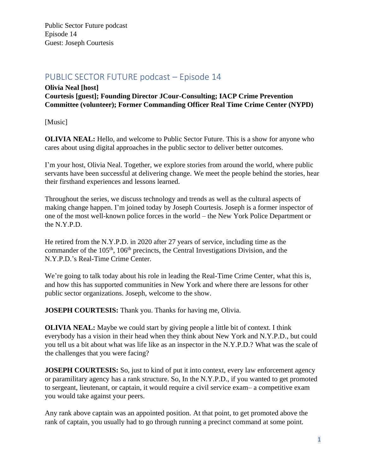# PUBLIC SECTOR FUTURE podcast – Episode 14

## **Olivia Neal [host] Courtesis [guest]; Founding Director JCour-Consulting; IACP Crime Prevention Committee (volunteer); Former Commanding Officer Real Time Crime Center (NYPD)**

[Music]

**OLIVIA NEAL:** Hello, and welcome to Public Sector Future. This is a show for anyone who cares about using digital approaches in the public sector to deliver better outcomes.

I'm your host, Olivia Neal. Together, we explore stories from around the world, where public servants have been successful at delivering change. We meet the people behind the stories, hear their firsthand experiences and lessons learned.

Throughout the series, we discuss technology and trends as well as the cultural aspects of making change happen. I'm joined today by Joseph Courtesis. Joseph is a former inspector of one of the most well-known police forces in the world – the New York Police Department or the N.Y.P.D.

He retired from the N.Y.P.D. in 2020 after 27 years of service, including time as the commander of the 105<sup>th</sup>, 106<sup>th</sup> precincts, the Central Investigations Division, and the N.Y.P.D.'s Real-Time Crime Center.

We're going to talk today about his role in leading the Real-Time Crime Center, what this is, and how this has supported communities in New York and where there are lessons for other public sector organizations. Joseph, welcome to the show.

**JOSEPH COURTESIS:** Thank you. Thanks for having me, Olivia.

**OLIVIA NEAL:** Maybe we could start by giving people a little bit of context. I think everybody has a vision in their head when they think about New York and N.Y.P.D., but could you tell us a bit about what was life like as an inspector in the N.Y.P.D.? What was the scale of the challenges that you were facing?

**JOSEPH COURTESIS:** So, just to kind of put it into context, every law enforcement agency or paramilitary agency has a rank structure. So, In the N.Y.P.D., if you wanted to get promoted to sergeant, lieutenant, or captain, it would require a civil service exam– a competitive exam you would take against your peers.

Any rank above captain was an appointed position. At that point, to get promoted above the rank of captain, you usually had to go through running a precinct command at some point.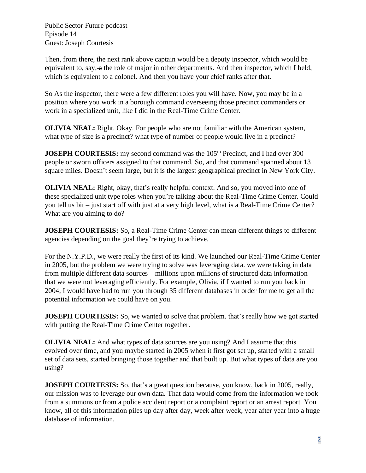Then, from there, the next rank above captain would be a deputy inspector, which would be equivalent to, say, a the role of major in other departments. And then inspector, which I held, which is equivalent to a colonel. And then you have your chief ranks after that.

So As the inspector, there were a few different roles you will have. Now, you may be in a position where you work in a borough command overseeing those precinct commanders or work in a specialized unit, like I did in the Real-Time Crime Center.

**OLIVIA NEAL:** Right. Okay. For people who are not familiar with the American system, what type of size is a precinct? what type of number of people would live in a precinct?

**JOSEPH COURTESIS:** my second command was the 105<sup>th</sup> Precinct, and I had over 300 people or sworn officers assigned to that command. So, and that command spanned about 13 square miles. Doesn't seem large, but it is the largest geographical precinct in New York City.

**OLIVIA NEAL:** Right, okay, that's really helpful context. And so, you moved into one of these specialized unit type roles when you're talking about the Real-Time Crime Center. Could you tell us bit – just start off with just at a very high level, what is a Real-Time Crime Center? What are you aiming to do?

**JOSEPH COURTESIS:** So, a Real-Time Crime Center can mean different things to different agencies depending on the goal they're trying to achieve.

For the N.Y.P.D., we were really the first of its kind. We launched our Real-Time Crime Center in 2005, but the problem we were trying to solve was leveraging data. we were taking in data from multiple different data sources – millions upon millions of structured data information – that we were not leveraging efficiently. For example, Olivia, if I wanted to run you back in 2004, I would have had to run you through 35 different databases in order for me to get all the potential information we could have on you.

**JOSEPH COURTESIS:** So, we wanted to solve that problem. that's really how we got started with putting the Real-Time Crime Center together.

**OLIVIA NEAL:** And what types of data sources are you using? And I assume that this evolved over time, and you maybe started in 2005 when it first got set up, started with a small set of data sets, started bringing those together and that built up. But what types of data are you using?

**JOSEPH COURTESIS:** So, that's a great question because, you know, back in 2005, really, our mission was to leverage our own data. That data would come from the information we took from a summons or from a police accident report or a complaint report or an arrest report. You know, all of this information piles up day after day, week after week, year after year into a huge database of information.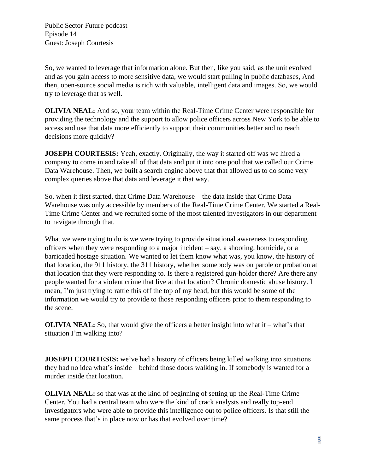So, we wanted to leverage that information alone. But then, like you said, as the unit evolved and as you gain access to more sensitive data, we would start pulling in public databases, And then, open-source social media is rich with valuable, intelligent data and images. So, we would try to leverage that as well.

**OLIVIA NEAL:** And so, your team within the Real-Time Crime Center were responsible for providing the technology and the support to allow police officers across New York to be able to access and use that data more efficiently to support their communities better and to reach decisions more quickly?

**JOSEPH COURTESIS:** Yeah, exactly. Originally, the way it started off was we hired a company to come in and take all of that data and put it into one pool that we called our Crime Data Warehouse. Then, we built a search engine above that that allowed us to do some very complex queries above that data and leverage it that way.

So, when it first started, that Crime Data Warehouse – the data inside that Crime Data Warehouse was only accessible by members of the Real-Time Crime Center. We started a Real-Time Crime Center and we recruited some of the most talented investigators in our department to navigate through that.

What we were trying to do is we were trying to provide situational awareness to responding officers when they were responding to a major incident – say, a shooting, homicide, or a barricaded hostage situation. We wanted to let them know what was, you know, the history of that location, the 911 history, the 311 history, whether somebody was on parole or probation at that location that they were responding to. Is there a registered gun-holder there? Are there any people wanted for a violent crime that live at that location? Chronic domestic abuse history. I mean, I'm just trying to rattle this off the top of my head, but this would be some of the information we would try to provide to those responding officers prior to them responding to the scene.

**OLIVIA NEAL:** So, that would give the officers a better insight into what it – what's that situation I'm walking into?

**JOSEPH COURTESIS:** we've had a history of officers being killed walking into situations they had no idea what's inside – behind those doors walking in. If somebody is wanted for a murder inside that location.

**OLIVIA NEAL:** so that was at the kind of beginning of setting up the Real-Time Crime Center. You had a central team who were the kind of crack analysts and really top-end investigators who were able to provide this intelligence out to police officers. Is that still the same process that's in place now or has that evolved over time?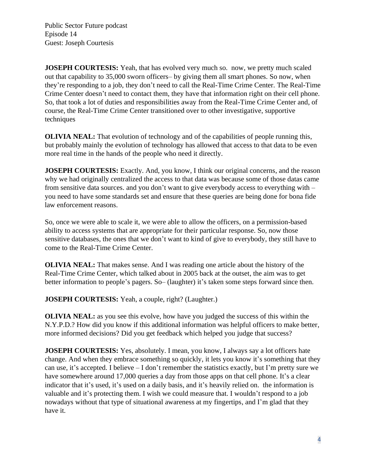**JOSEPH COURTESIS:** Yeah, that has evolved very much so. now, we pretty much scaled out that capability to 35,000 sworn officers– by giving them all smart phones. So now, when they're responding to a job, they don't need to call the Real-Time Crime Center. The Real-Time Crime Center doesn't need to contact them, they have that information right on their cell phone. So, that took a lot of duties and responsibilities away from the Real-Time Crime Center and, of course, the Real-Time Crime Center transitioned over to other investigative, supportive techniques

**OLIVIA NEAL:** That evolution of technology and of the capabilities of people running this, but probably mainly the evolution of technology has allowed that access to that data to be even more real time in the hands of the people who need it directly.

**JOSEPH COURTESIS:** Exactly. And, you know, I think our original concerns, and the reason why we had originally centralized the access to that data was because some of those datas came from sensitive data sources. and you don't want to give everybody access to everything with – you need to have some standards set and ensure that these queries are being done for bona fide law enforcement reasons.

So, once we were able to scale it, we were able to allow the officers, on a permission-based ability to access systems that are appropriate for their particular response. So, now those sensitive databases, the ones that we don't want to kind of give to everybody, they still have to come to the Real-Time Crime Center.

**OLIVIA NEAL:** That makes sense. And I was reading one article about the history of the Real-Time Crime Center, which talked about in 2005 back at the outset, the aim was to get better information to people's pagers. So– (laughter) it's taken some steps forward since then.

**JOSEPH COURTESIS:** Yeah, a couple, right? (Laughter.)

**OLIVIA NEAL:** as you see this evolve, how have you judged the success of this within the N.Y.P.D.? How did you know if this additional information was helpful officers to make better, more informed decisions? Did you get feedback which helped you judge that success?

**JOSEPH COURTESIS:** Yes, absolutely. I mean, you know, I always say a lot officers hate change. And when they embrace something so quickly, it lets you know it's something that they can use, it's accepted. I believe – I don't remember the statistics exactly, but I'm pretty sure we have somewhere around 17,000 queries a day from those apps on that cell phone. It's a clear indicator that it's used, it's used on a daily basis, and it's heavily relied on. the information is valuable and it's protecting them. I wish we could measure that. I wouldn't respond to a job nowadays without that type of situational awareness at my fingertips, and I'm glad that they have it.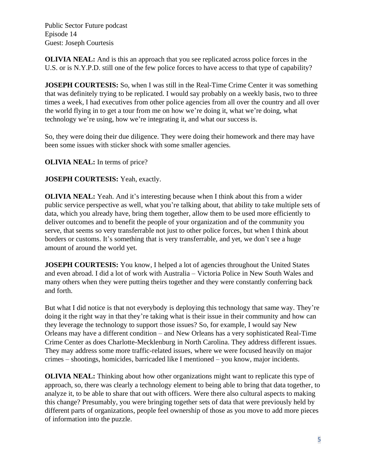**OLIVIA NEAL:** And is this an approach that you see replicated across police forces in the U.S. or is N.Y.P.D. still one of the few police forces to have access to that type of capability?

**JOSEPH COURTESIS:** So, when I was still in the Real-Time Crime Center it was something that was definitely trying to be replicated. I would say probably on a weekly basis, two to three times a week, I had executives from other police agencies from all over the country and all over the world flying in to get a tour from me on how we're doing it, what we're doing, what technology we're using, how we're integrating it, and what our success is.

So, they were doing their due diligence. They were doing their homework and there may have been some issues with sticker shock with some smaller agencies.

**OLIVIA NEAL:** In terms of price?

**JOSEPH COURTESIS:** Yeah, exactly.

**OLIVIA NEAL:** Yeah. And it's interesting because when I think about this from a wider public service perspective as well, what you're talking about, that ability to take multiple sets of data, which you already have, bring them together, allow them to be used more efficiently to deliver outcomes and to benefit the people of your organization and of the community you serve, that seems so very transferrable not just to other police forces, but when I think about borders or customs. It's something that is very transferrable, and yet, we don't see a huge amount of around the world yet.

**JOSEPH COURTESIS:** You know, I helped a lot of agencies throughout the United States and even abroad. I did a lot of work with Australia – Victoria Police in New South Wales and many others when they were putting theirs together and they were constantly conferring back and forth.

But what I did notice is that not everybody is deploying this technology that same way. They're doing it the right way in that they're taking what is their issue in their community and how can they leverage the technology to support those issues? So, for example, I would say New Orleans may have a different condition – and New Orleans has a very sophisticated Real-Time Crime Center as does Charlotte-Mecklenburg in North Carolina. They address different issues. They may address some more traffic-related issues, where we were focused heavily on major crimes – shootings, homicides, barricaded like I mentioned – you know, major incidents.

**OLIVIA NEAL:** Thinking about how other organizations might want to replicate this type of approach, so, there was clearly a technology element to being able to bring that data together, to analyze it, to be able to share that out with officers. Were there also cultural aspects to making this change? Presumably, you were bringing together sets of data that were previously held by different parts of organizations, people feel ownership of those as you move to add more pieces of information into the puzzle.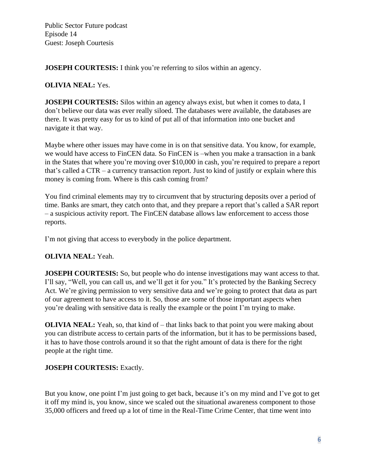**JOSEPH COURTESIS:** I think you're referring to silos within an agency.

#### **OLIVIA NEAL:** Yes.

**JOSEPH COURTESIS:** Silos within an agency always exist, but when it comes to data, I don't believe our data was ever really siloed. The databases were available, the databases are there. It was pretty easy for us to kind of put all of that information into one bucket and navigate it that way.

Maybe where other issues may have come in is on that sensitive data. You know, for example, we would have access to FinCEN data. So FinCEN is –when you make a transaction in a bank in the States that where you're moving over \$10,000 in cash, you're required to prepare a report that's called a CTR – a currency transaction report. Just to kind of justify or explain where this money is coming from. Where is this cash coming from?

You find criminal elements may try to circumvent that by structuring deposits over a period of time. Banks are smart, they catch onto that, and they prepare a report that's called a SAR report – a suspicious activity report. The FinCEN database allows law enforcement to access those reports.

I'm not giving that access to everybody in the police department.

## **OLIVIA NEAL:** Yeah.

**JOSEPH COURTESIS:** So, but people who do intense investigations may want access to that. I'll say, "Well, you can call us, and we'll get it for you." It's protected by the Banking Secrecy Act. We're giving permission to very sensitive data and we're going to protect that data as part of our agreement to have access to it. So, those are some of those important aspects when you're dealing with sensitive data is really the example or the point I'm trying to make.

**OLIVIA NEAL:** Yeah, so, that kind of – that links back to that point you were making about you can distribute access to certain parts of the information, but it has to be permissions based, it has to have those controls around it so that the right amount of data is there for the right people at the right time.

## **JOSEPH COURTESIS:** Exactly.

But you know, one point I'm just going to get back, because it's on my mind and I've got to get it off my mind is, you know, since we scaled out the situational awareness component to those 35,000 officers and freed up a lot of time in the Real-Time Crime Center, that time went into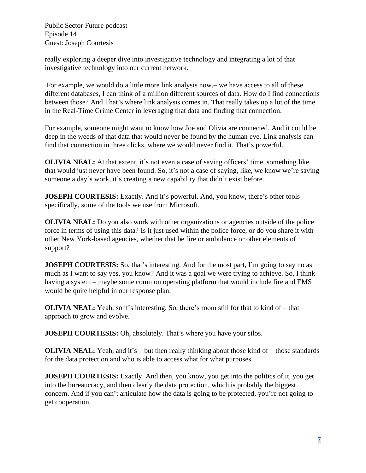really exploring a deeper dive into investigative technology and integrating a lot of that investigative technology into our current network.

For example, we would do a little more link analysis now,– we have access to all of these different databases, I can think of a million different sources of data. How do I find connections between those? And That's where link analysis comes in. That really takes up a lot of the time in the Real-Time Crime Center in leveraging that data and finding that connection.

For example, someone might want to know how Joe and Olivia are connected. And it could be deep in the weeds of that data that would never be found by the human eye. Link analysis can find that connection in three clicks, where we would never find it. That's powerful.

**OLIVIA NEAL:** At that extent, it's not even a case of saving officers' time, something like that would just never have been found. So, it's not a case of saying, like, we know we're saving someone a day's work, it's creating a new capability that didn't exist before.

**JOSEPH COURTESIS:** Exactly. And it's powerful. And, you know, there's other tools – specifically, some of the tools we use from Microsoft.

**OLIVIA NEAL:** Do you also work with other organizations or agencies outside of the police force in terms of using this data? Is it just used within the police force, or do you share it with other New York-based agencies, whether that be fire or ambulance or other elements of support?

**JOSEPH COURTESIS:** So, that's interesting. And for the most part, I'm going to say no as much as I want to say yes, you know? And it was a goal we were trying to achieve. So, I think having a system – maybe some common operating platform that would include fire and EMS would be quite helpful in our response plan.

**OLIVIA NEAL:** Yeah, so it's interesting. So, there's room still for that to kind of – that approach to grow and evolve.

**JOSEPH COURTESIS:** Oh, absolutely. That's where you have your silos.

**OLIVIA NEAL:** Yeah, and it's – but then really thinking about those kind of – those standards for the data protection and who is able to access what for what purposes.

**JOSEPH COURTESIS:** Exactly. And then, you know, you get into the politics of it, you get into the bureaucracy, and then clearly the data protection, which is probably the biggest concern. And if you can't articulate how the data is going to be protected, you're not going to get cooperation.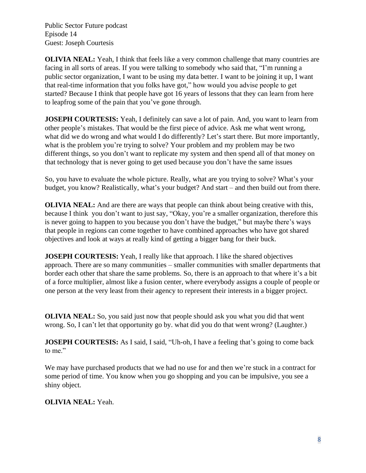**OLIVIA NEAL:** Yeah, I think that feels like a very common challenge that many countries are facing in all sorts of areas. If you were talking to somebody who said that, "I'm running a public sector organization, I want to be using my data better. I want to be joining it up, I want that real-time information that you folks have got," how would you advise people to get started? Because I think that people have got 16 years of lessons that they can learn from here to leapfrog some of the pain that you've gone through.

**JOSEPH COURTESIS:** Yeah, I definitely can save a lot of pain. And, you want to learn from other people's mistakes. That would be the first piece of advice. Ask me what went wrong, what did we do wrong and what would I do differently? Let's start there. But more importantly, what is the problem you're trying to solve? Your problem and my problem may be two different things, so you don't want to replicate my system and then spend all of that money on that technology that is never going to get used because you don't have the same issues

So, you have to evaluate the whole picture. Really, what are you trying to solve? What's your budget, you know? Realistically, what's your budget? And start – and then build out from there.

**OLIVIA NEAL:** And are there are ways that people can think about being creative with this, because I think you don't want to just say, "Okay, you're a smaller organization, therefore this is never going to happen to you because you don't have the budget," but maybe there's ways that people in regions can come together to have combined approaches who have got shared objectives and look at ways at really kind of getting a bigger bang for their buck.

**JOSEPH COURTESIS:** Yeah, I really like that approach. I like the shared objectives approach. There are so many communities – smaller communities with smaller departments that border each other that share the same problems. So, there is an approach to that where it's a bit of a force multiplier, almost like a fusion center, where everybody assigns a couple of people or one person at the very least from their agency to represent their interests in a bigger project.

**OLIVIA NEAL:** So, you said just now that people should ask you what you did that went wrong. So, I can't let that opportunity go by. what did you do that went wrong? (Laughter.)

**JOSEPH COURTESIS:** As I said, I said, "Uh-oh, I have a feeling that's going to come back to me."

We may have purchased products that we had no use for and then we're stuck in a contract for some period of time. You know when you go shopping and you can be impulsive, you see a shiny object.

## **OLIVIA NEAL:** Yeah.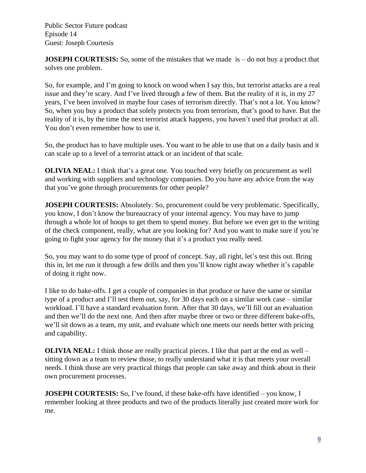**JOSEPH COURTESIS:** So, some of the mistakes that we made is – do not buy a product that solves one problem.

So, for example, and I'm going to knock on wood when I say this, but terrorist attacks are a real issue and they're scary. And I've lived through a few of them. But the reality of it is, in my 27 years, I've been involved in maybe four cases of terrorism directly. That's not a lot. You know? So, when you buy a product that solely protects you from terrorism, that's good to have. But the reality of it is, by the time the next terrorist attack happens, you haven't used that product at all. You don't even remember how to use it.

So, the product has to have multiple uses. You want to be able to use that on a daily basis and it can scale up to a level of a terrorist attack or an incident of that scale.

**OLIVIA NEAL:** I think that's a great one. You touched very briefly on procurement as well and working with suppliers and technology companies. Do you have any advice from the way that you've gone through procurements for other people?

**JOSEPH COURTESIS:** Absolutely. So, procurement could be very problematic. Specifically, you know, I don't know the bureaucracy of your internal agency. You may have to jump through a whole lot of hoops to get them to spend money. But before we even get to the writing of the check component, really, what are you looking for? And you want to make sure if you're going to fight your agency for the money that it's a product you really need.

So, you may want to do some type of proof of concept. Say, all right, let's test this out. Bring this in, let me run it through a few drills and then you'll know right away whether it's capable of doing it right now.

I like to do bake-offs. I get a couple of companies in that produce or have the same or similar type of a product and I'll test them out, say, for 30 days each on a similar work case – similar workload. I'll have a standard evaluation form. After that 30 days, we'll fill out an evaluation and then we'll do the next one. And then after maybe three or two or three different bake-offs, we'll sit down as a team, my unit, and evaluate which one meets our needs better with pricing and capability.

**OLIVIA NEAL:** I think those are really practical pieces. I like that part at the end as well – sitting down as a team to review those, to really understand what it is that meets your overall needs. I think those are very practical things that people can take away and think about in their own procurement processes.

**JOSEPH COURTESIS:** So, I've found, if these bake-offs have identified – you know, I remember looking at three products and two of the products literally just created more work for me.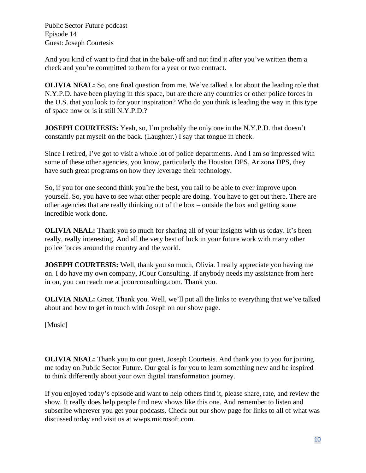And you kind of want to find that in the bake-off and not find it after you've written them a check and you're committed to them for a year or two contract.

**OLIVIA NEAL:** So, one final question from me. We've talked a lot about the leading role that N.Y.P.D. have been playing in this space, but are there any countries or other police forces in the U.S. that you look to for your inspiration? Who do you think is leading the way in this type of space now or is it still N.Y.P.D.?

**JOSEPH COURTESIS:** Yeah, so, I'm probably the only one in the N.Y.P.D. that doesn't constantly pat myself on the back. (Laughter.) I say that tongue in cheek.

Since I retired, I've got to visit a whole lot of police departments. And I am so impressed with some of these other agencies, you know, particularly the Houston DPS, Arizona DPS, they have such great programs on how they leverage their technology.

So, if you for one second think you're the best, you fail to be able to ever improve upon yourself. So, you have to see what other people are doing. You have to get out there. There are other agencies that are really thinking out of the box – outside the box and getting some incredible work done.

**OLIVIA NEAL:** Thank you so much for sharing all of your insights with us today. It's been really, really interesting. And all the very best of luck in your future work with many other police forces around the country and the world.

**JOSEPH COURTESIS:** Well, thank you so much, Olivia. I really appreciate you having me on. I do have my own company, JCour Consulting. If anybody needs my assistance from here in on, you can reach me at jcourconsulting.com. Thank you.

**OLIVIA NEAL:** Great. Thank you. Well, we'll put all the links to everything that we've talked about and how to get in touch with Joseph on our show page.

[Music]

**OLIVIA NEAL:** Thank you to our guest, Joseph Courtesis. And thank you to you for joining me today on Public Sector Future. Our goal is for you to learn something new and be inspired to think differently about your own digital transformation journey.

If you enjoyed today's episode and want to help others find it, please share, rate, and review the show. It really does help people find new shows like this one. And remember to listen and subscribe wherever you get your podcasts. Check out our show page for links to all of what was discussed today and visit us at wwps.microsoft.com.